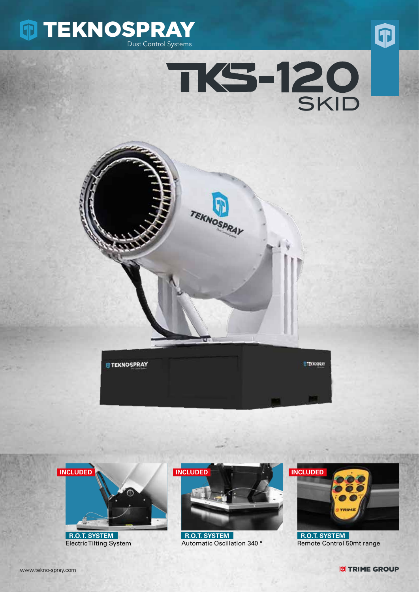











 **R.O.T. SYSTEM** Electric Tilting System



 **R.O.T. SYSTEM** Automatic Oscillation 340 °



 **R.O.T. SYSTEM** Remote Control 50mt range